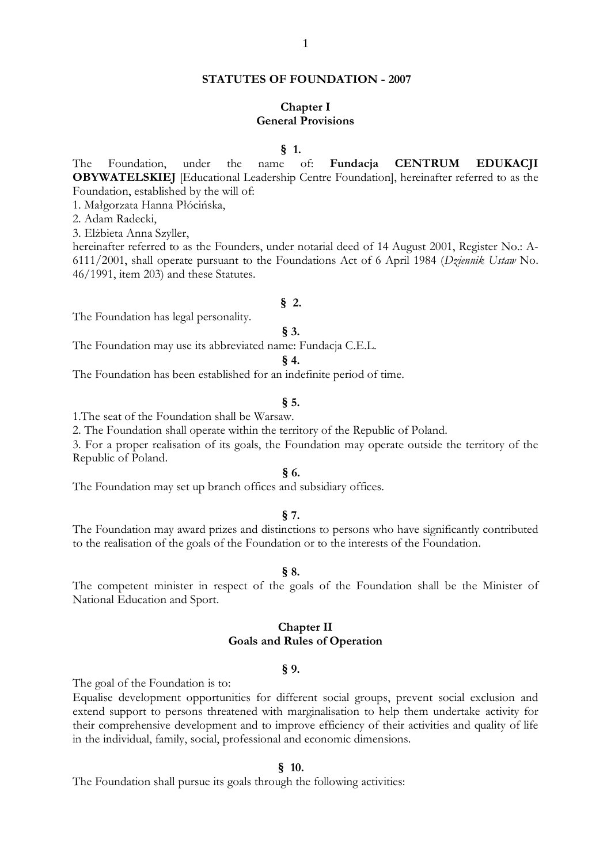## **STATUTES OF FOUNDATION - 2007**

# **Chapter I General Provisions**

**§ 1.**

The Foundation, under the name of: **Fundacja CENTRUM EDUKACJI OBYWATELSKIEJ** [Educational Leadership Centre Foundation], hereinafter referred to as the Foundation, established by the will of:

1. Małgorzata Hanna Płócińska,

2. Adam Radecki,

3. Elżbieta Anna Szyller,

hereinafter referred to as the Founders, under notarial deed of 14 August 2001, Register No.: A-6111/2001, shall operate pursuant to the Foundations Act of 6 April 1984 (*Dziennik Ustaw* No. 46/1991, item 203) and these Statutes.

#### **§ 2.**

The Foundation has legal personality.

### **§ 3.**

The Foundation may use its abbreviated name: Fundacja C.E.L.

**§ 4.**

The Foundation has been established for an indefinite period of time.

### **§ 5.**

1.The seat of the Foundation shall be Warsaw.

2. The Foundation shall operate within the territory of the Republic of Poland.

3. For a proper realisation of its goals, the Foundation may operate outside the territory of the Republic of Poland.

# **§ 6.**

The Foundation may set up branch offices and subsidiary offices.

#### **§ 7.**

The Foundation may award prizes and distinctions to persons who have significantly contributed to the realisation of the goals of the Foundation or to the interests of the Foundation.

#### **§ 8.**

The competent minister in respect of the goals of the Foundation shall be the Minister of National Education and Sport.

## **Chapter II Goals and Rules of Operation**

## **§ 9.**

The goal of the Foundation is to:

Equalise development opportunities for different social groups, prevent social exclusion and extend support to persons threatened with marginalisation to help them undertake activity for their comprehensive development and to improve efficiency of their activities and quality of life in the individual, family, social, professional and economic dimensions.

### **§ 10.**

The Foundation shall pursue its goals through the following activities: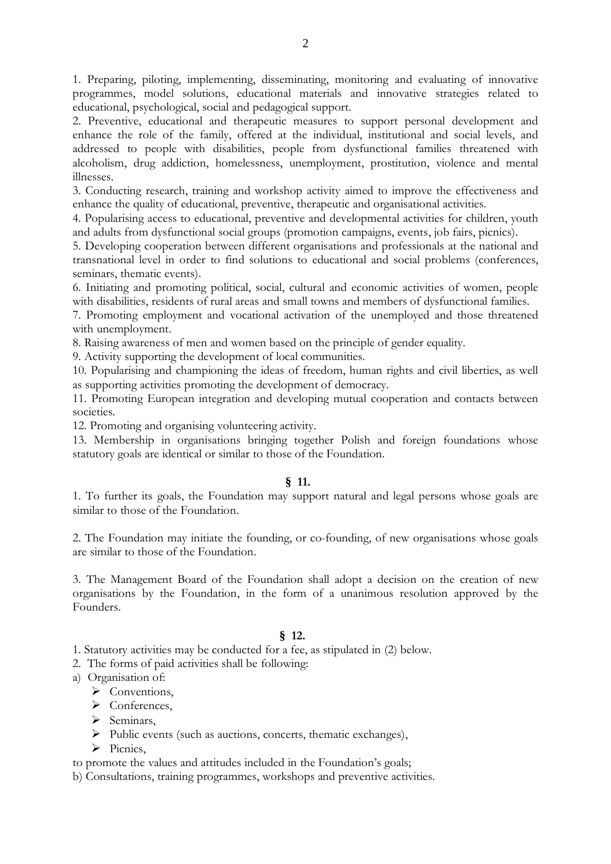1. Preparing, piloting, implementing, disseminating, monitoring and evaluating of innovative programmes, model solutions, educational materials and innovative strategies related to educational, psychological, social and pedagogical support.

2. Preventive, educational and therapeutic measures to support personal development and enhance the role of the family, offered at the individual, institutional and social levels, and addressed to people with disabilities, people from dysfunctional families threatened with alcoholism, drug addiction, homelessness, unemployment, prostitution, violence and mental illnesses.

3. Conducting research, training and workshop activity aimed to improve the effectiveness and enhance the quality of educational, preventive, therapeutic and organisational activities.

4. Popularising access to educational, preventive and developmental activities for children, youth and adults from dysfunctional social groups (promotion campaigns, events, job fairs, picnics).

5. Developing cooperation between different organisations and professionals at the national and transnational level in order to find solutions to educational and social problems (conferences, seminars, thematic events).

6. Initiating and promoting political, social, cultural and economic activities of women, people with disabilities, residents of rural areas and small towns and members of dysfunctional families.

7. Promoting employment and vocational activation of the unemployed and those threatened with unemployment.

8. Raising awareness of men and women based on the principle of gender equality.

9. Activity supporting the development of local communities.

10. Popularising and championing the ideas of freedom, human rights and civil liberties, as well as supporting activities promoting the development of democracy.

11. Promoting European integration and developing mutual cooperation and contacts between societies.

12. Promoting and organising volunteering activity.

13. Membership in organisations bringing together Polish and foreign foundations whose statutory goals are identical or similar to those of the Foundation.

# **§ 11.**

1. To further its goals, the Foundation may support natural and legal persons whose goals are similar to those of the Foundation.

2. The Foundation may initiate the founding, or co-founding, of new organisations whose goals are similar to those of the Foundation.

3. The Management Board of the Foundation shall adopt a decision on the creation of new organisations by the Foundation, in the form of a unanimous resolution approved by the Founders.

# **§ 12.**

1. Statutory activities may be conducted for a fee, as stipulated in (2) below.

2. The forms of paid activities shall be following:

- a) Organisation of:
	- $\triangleright$  Conventions.
	- Conferences,
	- $\triangleright$  Seminars,
	- Public events (such as auctions, concerts, thematic exchanges),
	- $\triangleright$  Picnics.

to promote the values and attitudes included in the Foundation's goals;

b) Consultations, training programmes, workshops and preventive activities.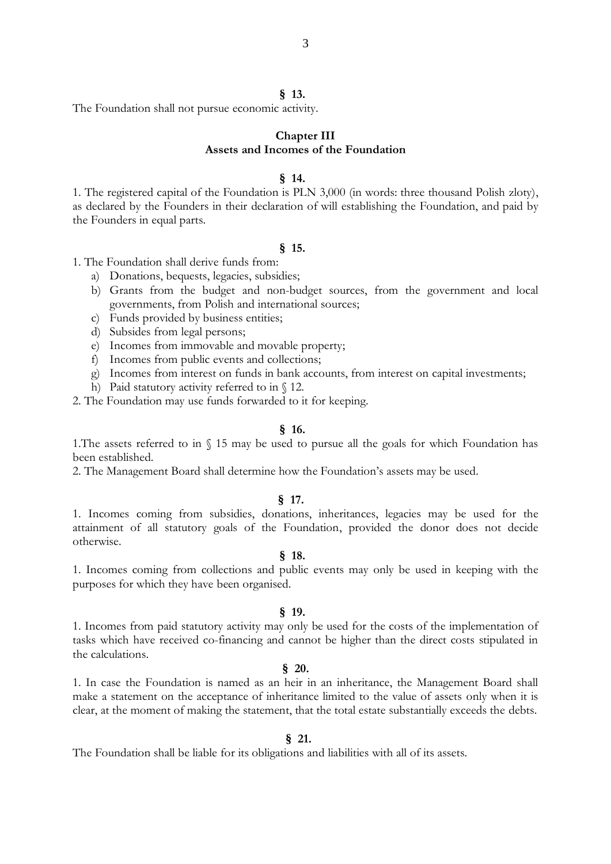#### **§ 13.**

The Foundation shall not pursue economic activity.

### **Chapter III Assets and Incomes of the Foundation**

#### **§ 14.**

1. The registered capital of the Foundation is PLN 3,000 (in words: three thousand Polish zloty), as declared by the Founders in their declaration of will establishing the Foundation, and paid by the Founders in equal parts.

#### **§ 15.**

1. The Foundation shall derive funds from:

- a) Donations, bequests, legacies, subsidies;
- b) Grants from the budget and non-budget sources, from the government and local governments, from Polish and international sources;
- c) Funds provided by business entities;
- d) Subsides from legal persons;
- e) Incomes from immovable and movable property;
- f) Incomes from public events and collections;
- g) Incomes from interest on funds in bank accounts, from interest on capital investments;
- h) Paid statutory activity referred to in  $\S$  12.

2. The Foundation may use funds forwarded to it for keeping.

#### **§ 16.**

1.The assets referred to in § 15 may be used to pursue all the goals for which Foundation has been established.

2. The Management Board shall determine how the Foundation's assets may be used.

#### **§ 17.**

1. Incomes coming from subsidies, donations, inheritances, legacies may be used for the attainment of all statutory goals of the Foundation, provided the donor does not decide otherwise.

### **§ 18.**

1. Incomes coming from collections and public events may only be used in keeping with the purposes for which they have been organised.

#### **§ 19.**

1. Incomes from paid statutory activity may only be used for the costs of the implementation of tasks which have received co-financing and cannot be higher than the direct costs stipulated in the calculations.

## **§ 20.**

1. In case the Foundation is named as an heir in an inheritance, the Management Board shall make a statement on the acceptance of inheritance limited to the value of assets only when it is clear, at the moment of making the statement, that the total estate substantially exceeds the debts.

### **§ 21.**

The Foundation shall be liable for its obligations and liabilities with all of its assets.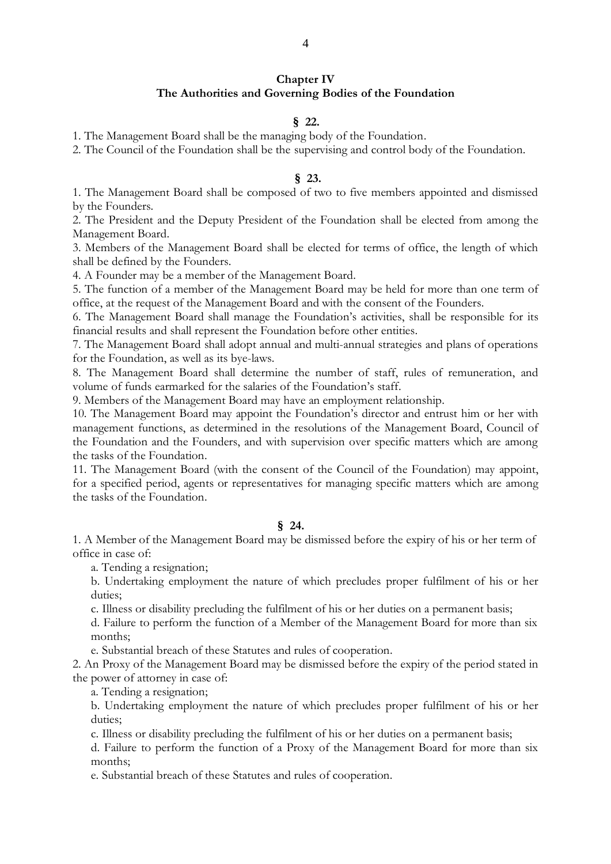# **Chapter IV The Authorities and Governing Bodies of the Foundation**

# **§ 22.**

1. The Management Board shall be the managing body of the Foundation.

2. The Council of the Foundation shall be the supervising and control body of the Foundation.

# **§ 23.**

1. The Management Board shall be composed of two to five members appointed and dismissed by the Founders.

2. The President and the Deputy President of the Foundation shall be elected from among the Management Board.

3. Members of the Management Board shall be elected for terms of office, the length of which shall be defined by the Founders.

4. A Founder may be a member of the Management Board.

5. The function of a member of the Management Board may be held for more than one term of office, at the request of the Management Board and with the consent of the Founders.

6. The Management Board shall manage the Foundation's activities, shall be responsible for its financial results and shall represent the Foundation before other entities.

7. The Management Board shall adopt annual and multi-annual strategies and plans of operations for the Foundation, as well as its bye-laws.

8. The Management Board shall determine the number of staff, rules of remuneration, and volume of funds earmarked for the salaries of the Foundation's staff.

9. Members of the Management Board may have an employment relationship.

10. The Management Board may appoint the Foundation's director and entrust him or her with management functions, as determined in the resolutions of the Management Board, Council of the Foundation and the Founders, and with supervision over specific matters which are among the tasks of the Foundation.

11. The Management Board (with the consent of the Council of the Foundation) may appoint, for a specified period, agents or representatives for managing specific matters which are among the tasks of the Foundation.

#### **§ 24.**

1. A Member of the Management Board may be dismissed before the expiry of his or her term of office in case of:

a. Tending a resignation;

b. Undertaking employment the nature of which precludes proper fulfilment of his or her duties;

c. Illness or disability precluding the fulfilment of his or her duties on a permanent basis;

d. Failure to perform the function of a Member of the Management Board for more than six months;

e. Substantial breach of these Statutes and rules of cooperation.

2. An Proxy of the Management Board may be dismissed before the expiry of the period stated in the power of attorney in case of:

a. Tending a resignation;

b. Undertaking employment the nature of which precludes proper fulfilment of his or her duties;

c. Illness or disability precluding the fulfilment of his or her duties on a permanent basis;

d. Failure to perform the function of a Proxy of the Management Board for more than six months;

e. Substantial breach of these Statutes and rules of cooperation.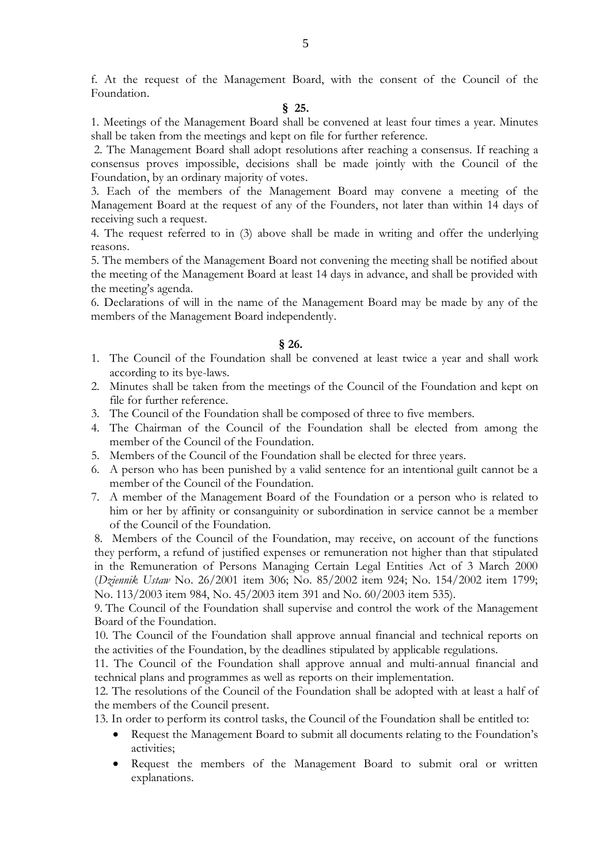f. At the request of the Management Board, with the consent of the Council of the Foundation.

# **§ 25.**

1. Meetings of the Management Board shall be convened at least four times a year. Minutes shall be taken from the meetings and kept on file for further reference.

2. The Management Board shall adopt resolutions after reaching a consensus. If reaching a consensus proves impossible, decisions shall be made jointly with the Council of the Foundation, by an ordinary majority of votes.

3. Each of the members of the Management Board may convene a meeting of the Management Board at the request of any of the Founders, not later than within 14 days of receiving such a request.

4. The request referred to in (3) above shall be made in writing and offer the underlying reasons.

5. The members of the Management Board not convening the meeting shall be notified about the meeting of the Management Board at least 14 days in advance, and shall be provided with the meeting's agenda.

6. Declarations of will in the name of the Management Board may be made by any of the members of the Management Board independently.

## **§ 26.**

- 1. The Council of the Foundation shall be convened at least twice a year and shall work according to its bye-laws.
- 2. Minutes shall be taken from the meetings of the Council of the Foundation and kept on file for further reference.
- 3. The Council of the Foundation shall be composed of three to five members.
- 4. The Chairman of the Council of the Foundation shall be elected from among the member of the Council of the Foundation.
- 5. Members of the Council of the Foundation shall be elected for three years.
- 6. A person who has been punished by a valid sentence for an intentional guilt cannot be a member of the Council of the Foundation.
- 7. A member of the Management Board of the Foundation or a person who is related to him or her by affinity or consanguinity or subordination in service cannot be a member of the Council of the Foundation.

8. Members of the Council of the Foundation, may receive, on account of the functions they perform, a refund of justified expenses or remuneration not higher than that stipulated in the Remuneration of Persons Managing Certain Legal Entities Act of 3 March 2000 (*Dziennik Ustaw* No. 26/2001 item 306; No. 85/2002 item 924; No. 154/2002 item 1799; No. 113/2003 item 984, No. 45/2003 item 391 and No. 60/2003 item 535).

9. The Council of the Foundation shall supervise and control the work of the Management Board of the Foundation.

10. The Council of the Foundation shall approve annual financial and technical reports on the activities of the Foundation, by the deadlines stipulated by applicable regulations.

11. The Council of the Foundation shall approve annual and multi-annual financial and technical plans and programmes as well as reports on their implementation.

12. The resolutions of the Council of the Foundation shall be adopted with at least a half of the members of the Council present.

13. In order to perform its control tasks, the Council of the Foundation shall be entitled to:

- Request the Management Board to submit all documents relating to the Foundation's activities;
- Request the members of the Management Board to submit oral or written explanations.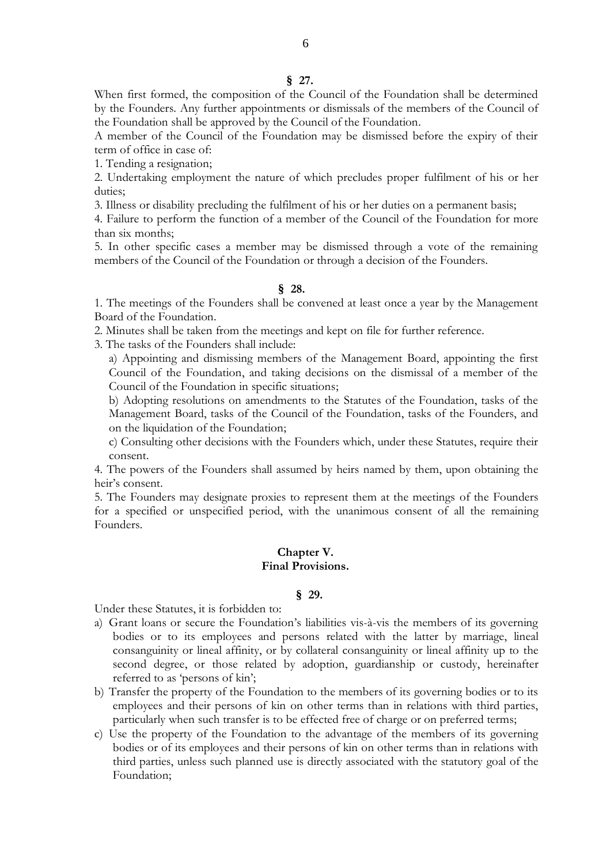### **§ 27.**

When first formed, the composition of the Council of the Foundation shall be determined by the Founders. Any further appointments or dismissals of the members of the Council of the Foundation shall be approved by the Council of the Foundation.

A member of the Council of the Foundation may be dismissed before the expiry of their term of office in case of:

1. Tending a resignation;

2. Undertaking employment the nature of which precludes proper fulfilment of his or her duties;

3. Illness or disability precluding the fulfilment of his or her duties on a permanent basis;

4. Failure to perform the function of a member of the Council of the Foundation for more than six months;

5. In other specific cases a member may be dismissed through a vote of the remaining members of the Council of the Foundation or through a decision of the Founders.

### **§ 28.**

1. The meetings of the Founders shall be convened at least once a year by the Management Board of the Foundation.

2. Minutes shall be taken from the meetings and kept on file for further reference.

3. The tasks of the Founders shall include:

a) Appointing and dismissing members of the Management Board, appointing the first Council of the Foundation, and taking decisions on the dismissal of a member of the Council of the Foundation in specific situations;

b) Adopting resolutions on amendments to the Statutes of the Foundation, tasks of the Management Board, tasks of the Council of the Foundation, tasks of the Founders, and on the liquidation of the Foundation;

c) Consulting other decisions with the Founders which, under these Statutes, require their consent.

4. The powers of the Founders shall assumed by heirs named by them, upon obtaining the heir's consent.

5. The Founders may designate proxies to represent them at the meetings of the Founders for a specified or unspecified period, with the unanimous consent of all the remaining Founders.

## **Chapter V. Final Provisions.**

### **§ 29.**

Under these Statutes, it is forbidden to:

- a) Grant loans or secure the Foundation's liabilities vis-à-vis the members of its governing bodies or to its employees and persons related with the latter by marriage, lineal consanguinity or lineal affinity, or by collateral consanguinity or lineal affinity up to the second degree, or those related by adoption, guardianship or custody, hereinafter referred to as 'persons of kin';
- b) Transfer the property of the Foundation to the members of its governing bodies or to its employees and their persons of kin on other terms than in relations with third parties, particularly when such transfer is to be effected free of charge or on preferred terms;
- c) Use the property of the Foundation to the advantage of the members of its governing bodies or of its employees and their persons of kin on other terms than in relations with third parties, unless such planned use is directly associated with the statutory goal of the Foundation;